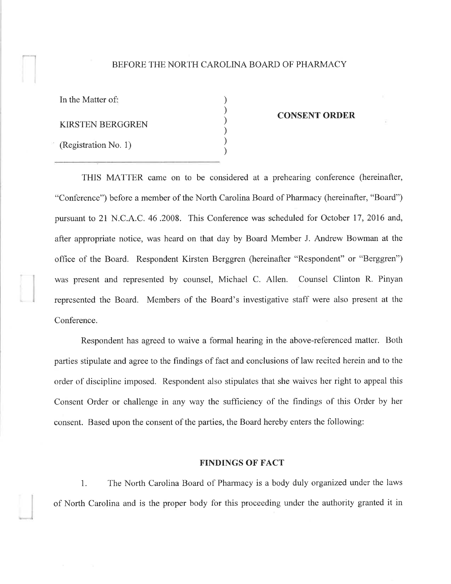### BEFORE THE NORTH CAROLINA BOARD OF PHARMACY

| In the Matter of:    |  |
|----------------------|--|
| KIRSTEN BERGGREN     |  |
| (Registration No. 1) |  |

#### CONSENT ORDER

THIS MATTER came on to be considered at a prehearing conference (hereinafter, "Conference") before a member of the North Carolina Board of Pharmacy (hereinafter, "Board") pursuant to 21 N.C.A.C. 46 .2008. This Conference was scheduled for October 17, 2016 and, after appropriate notice, was heard on that day by Board Member J. Andrew Bowman at the office of the Board. Respondent Kirsten Berggren (hereinafter "Respondent" or "Berggren") was present and represented by counsel, Michael C. Allen. Counsel Clinton R. Pinyan represented the Board. Members of the Board's investigative staff were also present at the Conference.

Respondent has agreed to waive a formal hearing in the above-referenced matter. Both parties stipulate and agree to the findings of fact and conclusions of law recited herein and to the order of discipline imposed. Respondent also stipulates that she waives her right to appeal this Consent Order or challenge in any way the sufficiency of the findings of this Order by her consent. Based upon the consent of the parties, the Board hereby enters the following:

## FINDINGS OF FACT

1. The North Carolina Board of Pharmacy is a body duly organized under the laws of North Carolina and is the proper body for this proceeding under the authority granted it in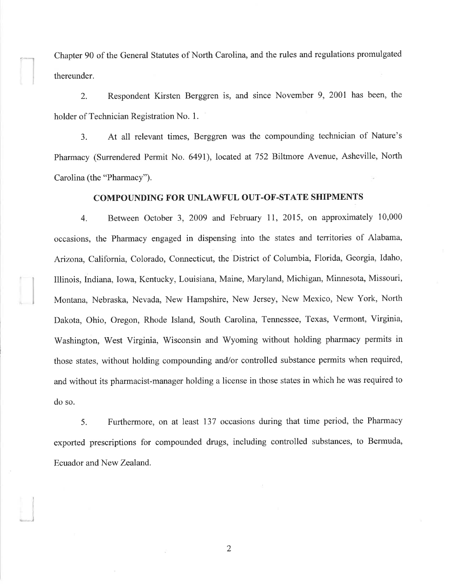Chapter 90 of the General Statutes of North Carolina, and the rules and regulations promulgated thereunder.

I

I

)

2. Respondent Kirsten Berggren is, and since November 9, 200I has been, the holder of Technician Registration No. 1.

3. At all relevant times, Berggren was the compounding technician of Nature's Pharmacy (Surrendered Permit No. 6491), located at 752 Biltmore Avenue, Asheville, North Carolina (the "Pharmacy").

### COMPOUNDING FOR UNLAWFUL OUT.OF-STATE SHIPMENTS

4. Between October 3, 2009 and February ll, 2015, on approximately 10,000 occasions, the Pharmacy engaged in dispensing into the states and territories of Alabama, Arizona, California, Colorado, Connecticut, the District of Columbia, Florida, Georgia, Idaho, Illinois, Indiana, Iowa, Kentucky, Louisiana, Maine, Maryland, Michigan, Minnesota, Missouri, Montana, Nebraska, Nevada, New Hampshire, New Jersey, New Mexico, New York, North Dakota, Ohio, Oregon, Rhode Island, South Carolina, Tennessee, Texas, Vermont, Virginia, Washington, West Virginia, Wisconsin and Wyoming without holding pharmacy permits in those states, without holding compounding and/or controlled substance permits when required, and without its pharmacist-manager holding a license in those states in which he was required to do so.

5. Furthermore, on at least 137 occasions during that time period, the Pharmacy exported prescriptions for compounded drugs, including controlled substances, to Bermuda, Ecuador and New Zealand.

2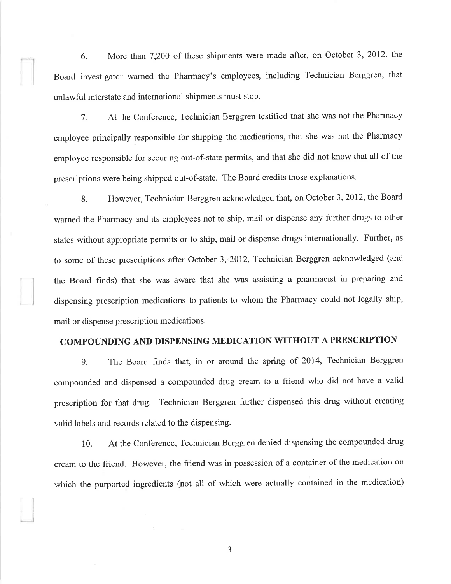6. More than 7,200 of these shipments were made after, on October 3, 2012, the Board investigator warned the Pharmacy's employees, including Technician Berggren, that unlawful interstate and international shipments must stop.

7. At the Conference, Technician Berggren testified that she was not the Pharmacy employee principally responsible for shipping the medications, that she was not the Pharmacy employee responsible for securing out-of-state permits, and that she did not know that all of the prescriptions were being shipped out-of-state. The Board credits those explanations.

8. However, Technician Berggren acknowledged that, on October 3,2012, the Board warned the Pharmacy and its employees not to ship, mail or dispense any further drugs to other states without appropriate permits or to ship, mail or dispense drugs internationally. Further, as to some of these prescriptions after October 3, 2012, Technician Berggren acknowledged (and the Board finds) that she was aware that she was assisting a pharmacist in preparing and dispensing prescription medications to patients to whom the Pharmacy could not legally ship, mail or dispense prescription medications.

# COMPOUNDING AND DISPENSING MEDICATION WITHOUT A PRESCRIPTION

g. The Board finds that, in or around the spring of 2014, Technician Berggren compounded and dispensed a compounded drug cream to a friend who did not have a valid prescription for that drug. Technician Berggren further dispensed this drug without creating valid labels and records related to the dispensing.

10. At the Conference, Technician Berggren denied dispensing the compounded drug cream to the friend. However, the friend was in possession of a container of the medication on which the purported ingredients (not all of which were actually contained in the medication)

J

J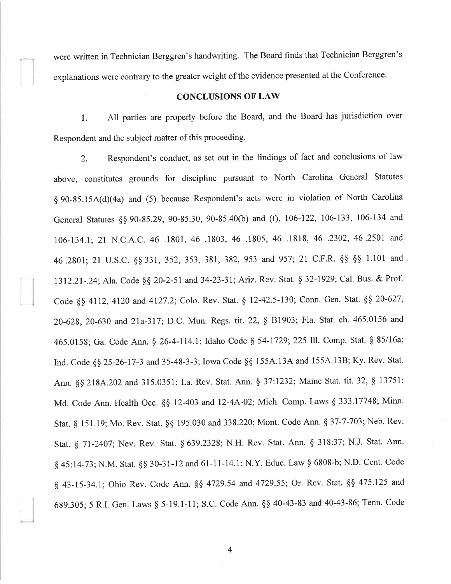were written in Technician Berggren's handwriting. The Board finds that Technician Berggren's explanations were contrary to the greater weight of the evidence presented at the Conference.

## CONCLUSIONS OF LAW

l. All parties are properly before the Board, and the Board has jurisdiction over Respondent and the subject matter of this proceeding.

2. Respondent's conduct, as set out in the findings of fact and conclusions of law above, constitutes grounds for discipline pursuant to North Carolina General Statutes § 90-85.15A(d)(4a) and (5) because Respondent's acts were in violation of North Carolina General Statutes \$\$ 90-35.29, 90-85.30, 90-85.40(b) and (Ð, 106-122, 106-133, 106-134 and 106-134.1;21 N.C.A.C. 46 .1801, 46 .1803, 46 .1805, 46 .1818, 46 .2302, 46.2501 and 46.2801; 21 U.S.C. §§ 331, 352, 353, 381, 382, 953 and 957; 21 C.F.R. §§ §§ 1.101 and I3l2.2l-.24; Ala. Code gg 20-2-51 and 34-23-31; Ariz. Rev. Stat. 5 32-1929; Cal. Bus. & Prof. Code §§ 4112, 4120 and 4127.2; Colo. Rev. Stat. § 12-42.5-130; Conn. Gen. Stat. §§ 20-627, 20-628, 20-630 and 2la-317; D.C. Mun. Regs. tit. 22, \$ 81903; Fla. Stat. ch. 465.0156 and 465.0158; Ga. Code Ann. § 26-4-114.1; Idaho Code § 54-1729; 225 Ill. Comp. Stat. § 85/16a; Ind. Code §§ 25-26-17-3 and 35-48-3-3; Iowa Code §§ 155A.13A and 155A.13B; Ky. Rev. Stat. Ann. §§ 218A.202 and 315.0351; La. Rev. Stat. Ann. § 37:1232; Maine Stat. tit. 32, § 13751; Md. Code Ann. Health Occ. \$\$ 12-403 and l2-4A-02; Mich. Comp. Laws ç 333.17748; Minn. Stat, § 151.19; Mo. Rev. Stat. §§ 195.030 and 338.220; Mont. Code Ann. § 37-7-703; Neb. Rev. Stat. g 7l-2407; Nev. Rev. Stat. \$ 639.2328; N.H. Rev. Stat. Ann. \$ 318:37; N.J. Stat. Ann. § 45:14-73; N.M. Stat. §§ 30-31-12 and 61-11-14.1; N.Y. Educ. Law § 6808-b; N.D. Cent. Code § 43-15-34.1; Ohio Rev. Code Ann. §§ 4729.54 and 4729.55; Or. Rev. Stat. §§ 475.125 and 689.305;5 R.I. Gen. Laws g 5-19.1-11; S.C. Code Ann. \$\$ 40-43-33 and 40-43-86; Tenn. Code

4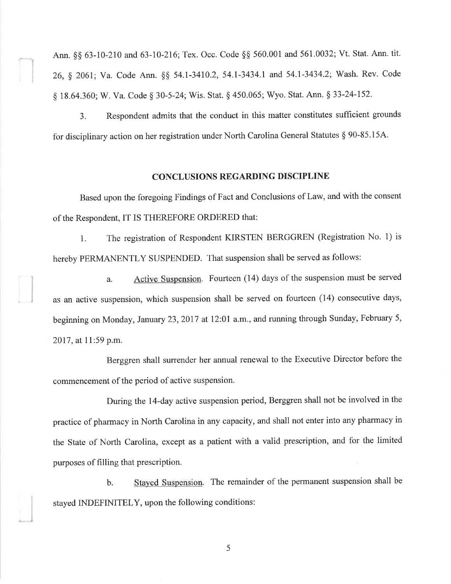Ann. §§ 63-10-210 and 63-10-216; Tex. Occ. Code §§ 560.001 and 561.0032; Vt. Stat. Ann. tit. 26, ç 2061; Va. Code Ann. \$\$ 54.1-3410.2, 54.1-3434,1 and 54.1-3434.2; Wash. Rev. Code § 18.64.360; W. Va. Code § 30-5-24; Wis. Stat. § 450.065; Wyo. Stat. Ann. § 33-24-152.

3. Respondent admits that the conduct in this matter constitutes sufficient grounds for disciplinary action on her registration under North Carolina General Statutes \$ 90-85.154.

# CONCLUSIONS REGARDING DISCIPLINE

Based upon the foregoing Findings of Fact and Conclusions of Law, and with the consent of the Respondent,IT IS THEREFORE ORDERED that:

1. The registration of Respondent KIRSTEN BERGGREN (Registration No. 1) is hereby PERMANENTLY SUSPENDED. That suspension shall be served as follows:

a. Active Suspension. Fourteen (14) days of the suspension must be served as an active suspension, which suspension shall be served on fourteen (14) consecutive days, beginning on Monday, January 23, 2017 at 12:01 a.m., and running through Sunday, February 5, 2017, at 11:59 p.m.

Berggren shall surrender her annual renewal to the Executive Director before the commencement of the period of active suspension.

During the l4-day active suspension period, Berggren shall not be involved in the practice of pharmacy in North Carolina in any capacity, and shall not enter into any pharmacy in the State of North Carolina, except as a patient with a valid prescription, and for the limited purposes of filling that prescription.

b. Stayed Suspension. The remainder of the permanent suspension shall be stayed INDEFINITELY, upon the following conditions:

5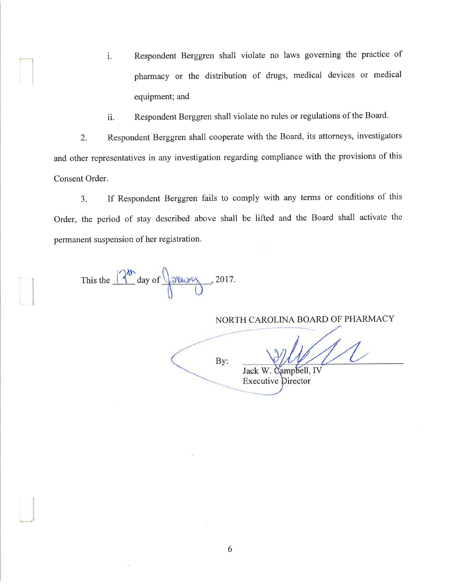- i. Respondent Berggren shall violate no laws governing the practice of pharmacy or the distribution of drugs, medical devices or medical equipment; and
- ii. Respondent Berggren shall violate no rules or regulations of the Board.

2. Respondent Berggren shall cooperate with the Board, its attorneys, investigators and other representatives in any investigation regarding compliance with the provisions of this Consent Order.

3. If Respondent Berggren fails to comply with any terms or conditions of this Order, the period of stay described above shall be lifted and the Board shall activate the permanent suspension of her registration.

This the  $\sqrt{2^{4h}}$  day of  $\sqrt{30h}$ , 2017.

I

NORTH CAROLINA BOARD OF PHARMACY

By:

Jack W. Campbell, IV **Executive Director**